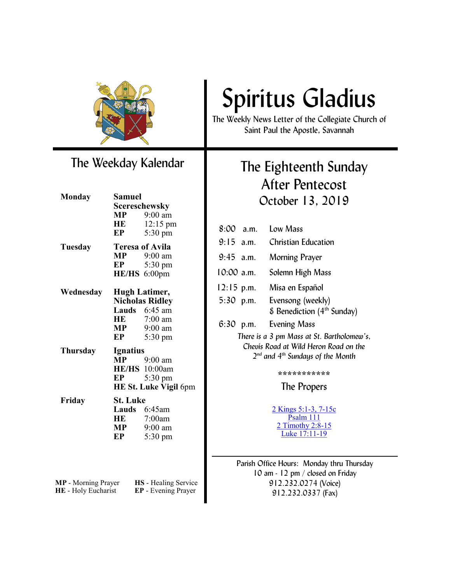

### The Weekday Kalendar

| <b>Monday</b>              | <b>Samuel</b>                                  |                             |
|----------------------------|------------------------------------------------|-----------------------------|
|                            |                                                | <b>Scereschewsky</b>        |
|                            |                                                | $MP$ 9:00 am                |
|                            |                                                | HE 12:15 pm                 |
|                            | EP                                             | 5:30 pm                     |
| Tuesday                    | <b>Teresa of Avila</b>                         |                             |
|                            |                                                | $MP$ 9:00 am                |
|                            | EP                                             | 5:30 pm                     |
|                            |                                                | HE/HS 6:00pm                |
| Wednesday                  |                                                |                             |
|                            | <b>Hugh Latimer,</b><br><b>Nicholas Ridley</b> |                             |
|                            |                                                | <b>Lauds</b> $6:45$ am      |
|                            |                                                | HE 7:00 am                  |
|                            |                                                | 9:00 am                     |
|                            | MP<br>EP                                       | 5:30 pm                     |
| Thursday                   | <b>Ignatius</b>                                |                             |
|                            | <b>MP</b>                                      | $9:00$ am                   |
|                            |                                                | HE/HS 10:00am               |
|                            | EP                                             | 5:30 pm                     |
|                            |                                                | HE St. Luke Vigil 6pm       |
| Friday                     | <b>St. Luke</b>                                |                             |
|                            |                                                | Lauds 6:45am                |
|                            |                                                | HE 7:00am                   |
|                            | MP                                             | $9:00$ am                   |
|                            | EP                                             | $5:30 \text{ pm}$           |
|                            |                                                |                             |
|                            |                                                |                             |
|                            |                                                |                             |
| <b>MP</b> - Morning Prayer |                                                | <b>HS</b> - Healing Service |

**HE** - Holy Eucharist **EP** - Evening Prayer

# Spiritus Gladius

The Weekly News Letter of the Collegiate Church of Saint Paul the Apostle, Savannah

### The Eighteenth Sunday After Pentecost October 13, 2019

| $8:00$ a.m.                                                                                                                       |  | Low Mass                                                                      |
|-----------------------------------------------------------------------------------------------------------------------------------|--|-------------------------------------------------------------------------------|
| $9:15$ a.m.                                                                                                                       |  | Christian Education                                                           |
| $9:45$ a.m.                                                                                                                       |  | Morning Prayer                                                                |
| $10:00$ a.m.                                                                                                                      |  | Solemn High Mass                                                              |
|                                                                                                                                   |  | 12:15 p.m. Misa en Español                                                    |
| $5:30$ p.m.                                                                                                                       |  | Evensong (weekly)<br>$\epsilon$ Benediction (4 <sup>th</sup> Sunday)          |
| $6:30$ p.m.                                                                                                                       |  | <b>Evening Mass</b>                                                           |
| There is a 3 pm Mass at St. Bartholomew's,<br>Chevis Road at Wild Heron Road on the<br>$2^{nd}$ and $4^{th}$ Sundays of the Month |  |                                                                               |
| ************                                                                                                                      |  |                                                                               |
| The Propers                                                                                                                       |  |                                                                               |
|                                                                                                                                   |  | <u>2 Kings 5:1-3, 7-15c</u><br>Psalm 111<br>2 Timothy 2:8-15<br>Luke 17:11-19 |

Parish Office Hours: Monday thru Thursday 10 am - 12 pm / closed on Friday 912.232.0274 (Voice) 912.232.0337 (Fax)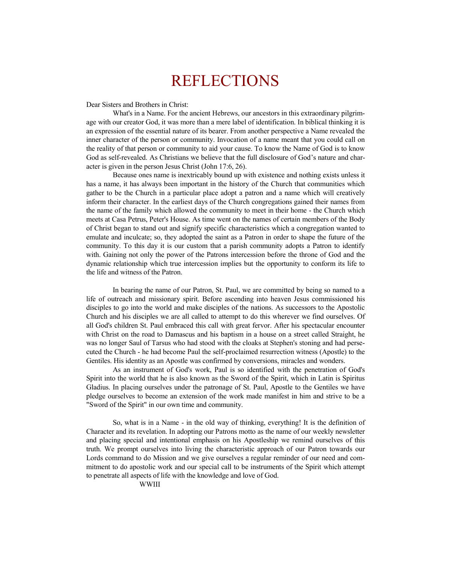### REFLECTIONS

Dear Sisters and Brothers in Christ:

What's in a Name. For the ancient Hebrews, our ancestors in this extraordinary pilgrimage with our creator God, it was more than a mere label of identification. In biblical thinking it is an expression of the essential nature of its bearer. From another perspective a Name revealed the inner character of the person or community. Invocation of a name meant that you could call on the reality of that person or community to aid your cause. To know the Name of God is to know God as self-revealed. As Christians we believe that the full disclosure of God's nature and character is given in the person Jesus Christ (John 17:6, 26).

Because ones name is inextricably bound up with existence and nothing exists unless it has a name, it has always been important in the history of the Church that communities which gather to be the Church in a particular place adopt a patron and a name which will creatively inform their character. In the earliest days of the Church congregations gained their names from the name of the family which allowed the community to meet in their home - the Church which meets at Casa Petrus, Peter's House. As time went on the names of certain members of the Body of Christ began to stand out and signify specific characteristics which a congregation wanted to emulate and inculcate; so, they adopted the saint as a Patron in order to shape the future of the community. To this day it is our custom that a parish community adopts a Patron to identify with. Gaining not only the power of the Patrons intercession before the throne of God and the dynamic relationship which true intercession implies but the opportunity to conform its life to the life and witness of the Patron.

In bearing the name of our Patron, St. Paul, we are committed by being so named to a life of outreach and missionary spirit. Before ascending into heaven Jesus commissioned his disciples to go into the world and make disciples of the nations. As successors to the Apostolic Church and his disciples we are all called to attempt to do this wherever we find ourselves. Of all God's children St. Paul embraced this call with great fervor. After his spectacular encounter with Christ on the road to Damascus and his baptism in a house on a street called Straight, he was no longer Saul of Tarsus who had stood with the cloaks at Stephen's stoning and had persecuted the Church - he had become Paul the self-proclaimed resurrection witness (Apostle) to the Gentiles. His identity as an Apostle was confirmed by conversions, miracles and wonders.

As an instrument of God's work, Paul is so identified with the penetration of God's Spirit into the world that he is also known as the Sword of the Spirit, which in Latin is Spiritus Gladius. In placing ourselves under the patronage of St. Paul, Apostle to the Gentiles we have pledge ourselves to become an extension of the work made manifest in him and strive to be a "Sword of the Spirit" in our own time and community.

So, what is in a Name - in the old way of thinking, everything! It is the definition of Character and its revelation. In adopting our Patrons motto as the name of our weekly newsletter and placing special and intentional emphasis on his Apostleship we remind ourselves of this truth. We prompt ourselves into living the characteristic approach of our Patron towards our Lords command to do Mission and we give ourselves a regular reminder of our need and commitment to do apostolic work and our special call to be instruments of the Spirit which attempt to penetrate all aspects of life with the knowledge and love of God.

WWIII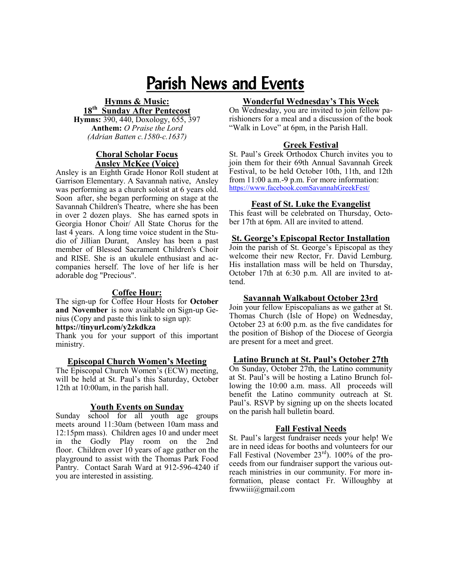## Parish News and Events

#### **Hymns & Music:**

**18th Sunday After Pentecost Hymns:** 390, 440, Doxology, 655, 397 **Anthem:** *O Praise the Lord (Adrian Batten c.1580-c.1637)*

#### **Choral Scholar Focus Ansley McKee (Voice)**

Ansley is an Eighth Grade Honor Roll student at Garrison Elementary. A Savannah native, Ansley was performing as a church soloist at 6 years old. Soon after, she began performing on stage at the Savannah Children's Theatre, where she has been in over 2 dozen plays. She has earned spots in Georgia Honor Choir/ All State Chorus for the last 4 years. A long time voice student in the Studio of Jillian Durant, Ansley has been a past member of Blessed Sacrament Children's Choir and RISE. She is an ukulele enthusiast and accompanies herself. The love of her life is her adorable dog "Precious".

#### **Coffee Hour:**

**T**he sign-up for Coffee Hour Hosts for **October and November** is now available on Sign-up Genius (Copy and paste this link to sign up):

#### **https://tinyurl.com/y2zkdkza**

Thank you for your support of this important ministry.

#### **Episcopal Church Women's Meeting**

The Episcopal Church Women's (ECW) meeting, will be held at St. Paul's this Saturday, October 12th at 10:00am, in the parish hall.

#### **Youth Events on Sunday**

Sunday school for all youth age groups meets around 11:30am (between 10am mass and 12:15pm mass). Children ages 10 and under meet in the Godly Play room on the 2nd floor. Children over 10 years of age gather on the playground to assist with the Thomas Park Food Pantry. Contact Sarah Ward at 912-596-4240 if you are interested in assisting.

#### **Wonderful Wednesday's This Week**

On Wednesday, you are invited to join fellow parishioners for a meal and a discussion of the book "Walk in Love" at 6pm, in the Parish Hall.

#### **Greek Festival**

St. Paul's Greek Orthodox Church invites you to join them for their 69th Annual Savannah Greek Festival, to be held October 10th, 11th, and 12th from 11:00 a.m.-9 p.m. For more information: [https://www.facebook.comSavannahGreekFest/](https://www.facebook.com/SavannahGreekFest/)

#### **Feast of St. Luke the Evangelist**

This feast will be celebrated on Thursday, October 17th at 6pm. All are invited to attend.

#### **St. George's Episcopal Rector Installation**

Join the parish of St. George's Episcopal as they welcome their new Rector, Fr. David Lemburg. His installation mass will be held on Thursday, October 17th at 6:30 p.m. All are invited to attend.

#### **Savannah Walkabout October 23rd**

Join your fellow Episcopalians as we gather at St. Thomas Church (Isle of Hope) on Wednesday, October 23 at 6:00 p.m. as the five candidates for the position of Bishop of the Diocese of Georgia are present for a meet and greet.

#### **Latino Brunch at St. Paul's October 27th**

On Sunday, October 27th, the Latino community at St. Paul's will be hosting a Latino Brunch following the 10:00 a.m. mass. All proceeds will benefit the Latino community outreach at St. Paul's. RSVP by signing up on the sheets located on the parish hall bulletin board.

#### **Fall Festival Needs**

St. Paul's largest fundraiser needs your help! We are in need ideas for booths and volunteers for our Fall Festival (November 23<sup>rd</sup>). 100% of the proceeds from our fundraiser support the various outreach ministries in our community. For more information, please contact Fr. Willoughby at frwwiii@gmail.com